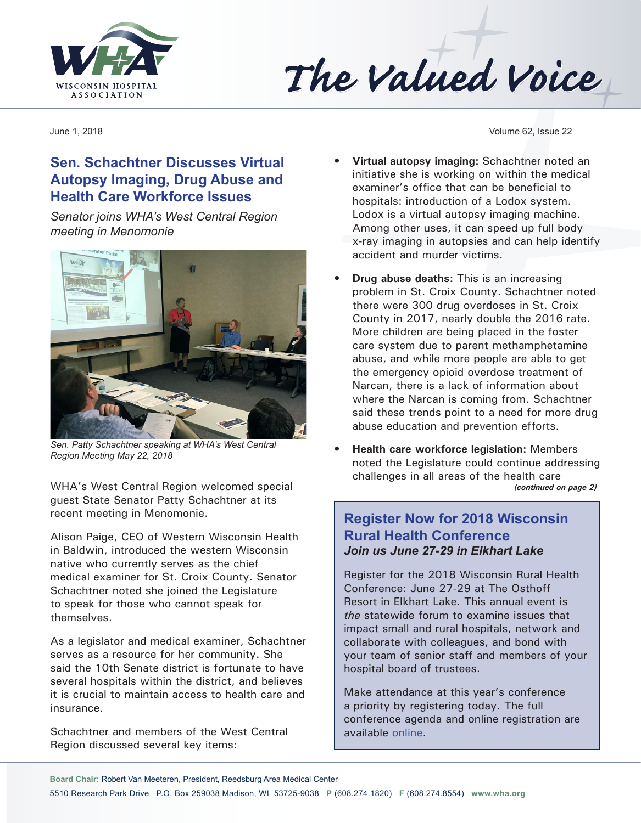



# **Sen. Schachtner Discusses Virtual Autopsy Imaging, Drug Abuse and Health Care Workforce Issues**

*Senator joins WHA's West Central Region meeting in Menomonie*



*Sen. Patty Schachtner speaking at WHA's West Central Region Meeting May 22, 2018*

WHA's West Central Region welcomed special guest State Senator Patty Schachtner at its recent meeting in Menomonie.

Alison Paige, CEO of Western Wisconsin Health in Baldwin, introduced the western Wisconsin native who currently serves as the chief medical examiner for St. Croix County. Senator Schachtner noted she joined the Legislature to speak for those who cannot speak for themselves.

As a legislator and medical examiner, Schachtner serves as a resource for her community. She said the 10th Senate district is fortunate to have several hospitals within the district, and believes it is crucial to maintain access to health care and insurance.

Schachtner and members of the West Central Region discussed several key items:

June 1, 2018 Volume 62, Issue 22

- **• Virtual autopsy imaging:** Schachtner noted an initiative she is working on within the medical examiner's office that can be beneficial to hospitals: introduction of a Lodox system. Lodox is a virtual autopsy imaging machine. Among other uses, it can speed up full body x-ray imaging in autopsies and can help identify accident and murder victims.
- **• Drug abuse deaths:** This is an increasing problem in St. Croix County. Schachtner noted there were 300 drug overdoses in St. Croix County in 2017, nearly double the 2016 rate. More children are being placed in the foster care system due to parent methamphetamine abuse, and while more people are able to get the emergency opioid overdose treatment of Narcan, there is a lack of information about where the Narcan is coming from. Schachtner said these trends point to a need for more drug abuse education and prevention efforts.
- **• Health care workforce legislation:** Members noted the Legislature could continue addressing challenges in all areas of the health care *(continued on page 2)*

### **Register Now for 2018 Wisconsin Rural Health Conference**  *Join us June 27-29 in Elkhart Lake*

Register for the 2018 Wisconsin Rural Health Conference: June 27-29 at The Osthoff Resort in Elkhart Lake. This annual event is *the* statewide forum to examine issues that impact small and rural hospitals, network and collaborate with colleagues, and bond with your team of senior staff and members of your hospital board of trustees.

Make attendance at this year's conference a priority by registering today. The full conference agenda and online registration are available [online.](http://www.cvent.com/events/18l-rhc-0627-0628/event-summary-7cdc3e0885644fb8be95530ab73d3aa1.aspx)